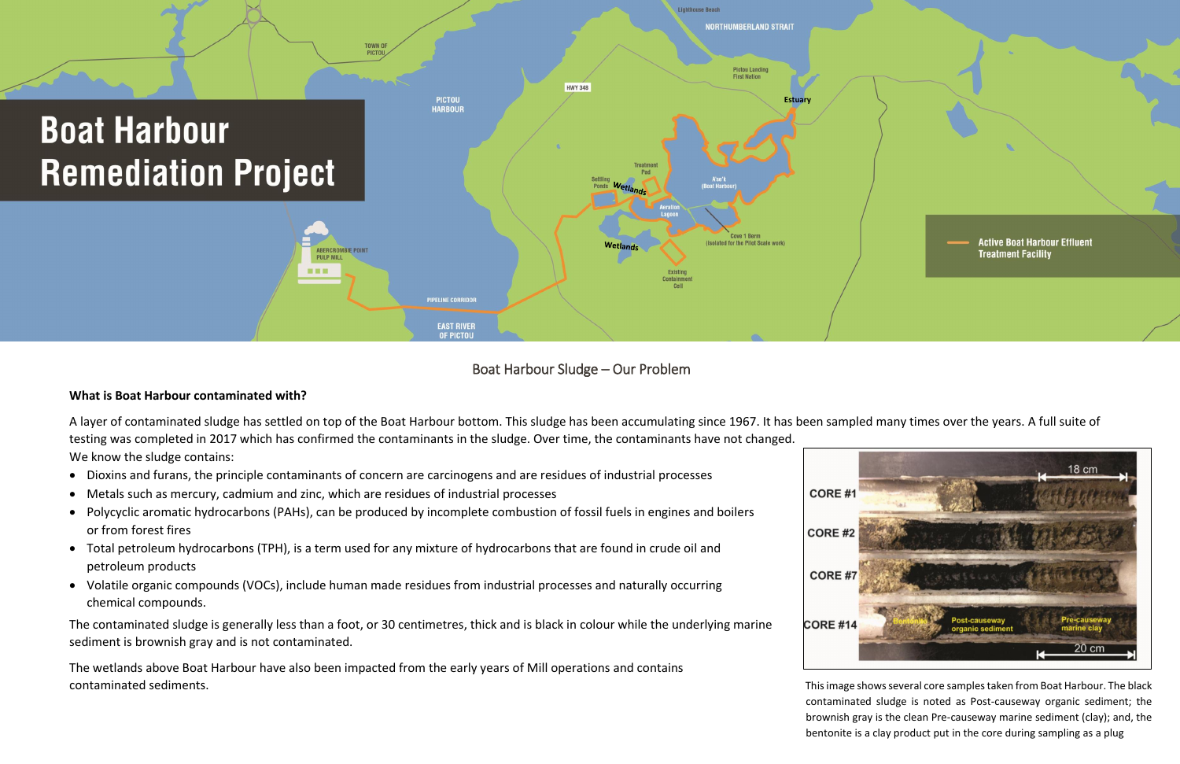Boat Harbour Sludge – Our Problem

# **What is Boat Harbour contaminated with?**

A layer of contaminated sludge has settled on top of the Boat Harbour bottom. This sludge has been accumulating since 1967. It has been sampled many times over the years. A full suite of testing was completed in 2017 which has confirmed the contaminants in the sludge. Over time, the contaminants have not changed. We know the sludge contains:

- Dioxins and furans, the principle contaminants of concern are carcinogens and are residues of industrial processes
- Metals such as mercury, cadmium and zinc, which are residues of industrial processes
- Polycyclic aromatic hydrocarbons (PAHs), can be produced by incomplete combustion of fossil fuels in engines and boilers or from [forest fires](https://en.wikipedia.org/wiki/Forest_fires)
- Total petroleum hydrocarbons (TPH), is a term used for any mixture of [hydrocarbons](https://en.wikipedia.org/wiki/Hydrocarbons) that are found in [crude oil](https://en.wikipedia.org/wiki/Crude_oil) and petroleum products
- Volatile organic compounds (VOCs), include human made residues from industrial processes and naturally occurring chemical compounds.

The contaminated sludge is generally less than a foot, or 30 centimetres, thick and is black in colour while the underlying marine sediment is brownish gray and is not contaminated.

The wetlands above Boat Harbour have also been impacted from the early years of Mill operations and contains contaminated sediments.





This image shows several core samples taken from Boat Harbour. The black contaminated sludge is noted as Post-causeway organic sediment; the brownish gray is the clean Pre-causeway marine sediment (clay); and, the bentonite is a clay product put in the core during sampling as a plug